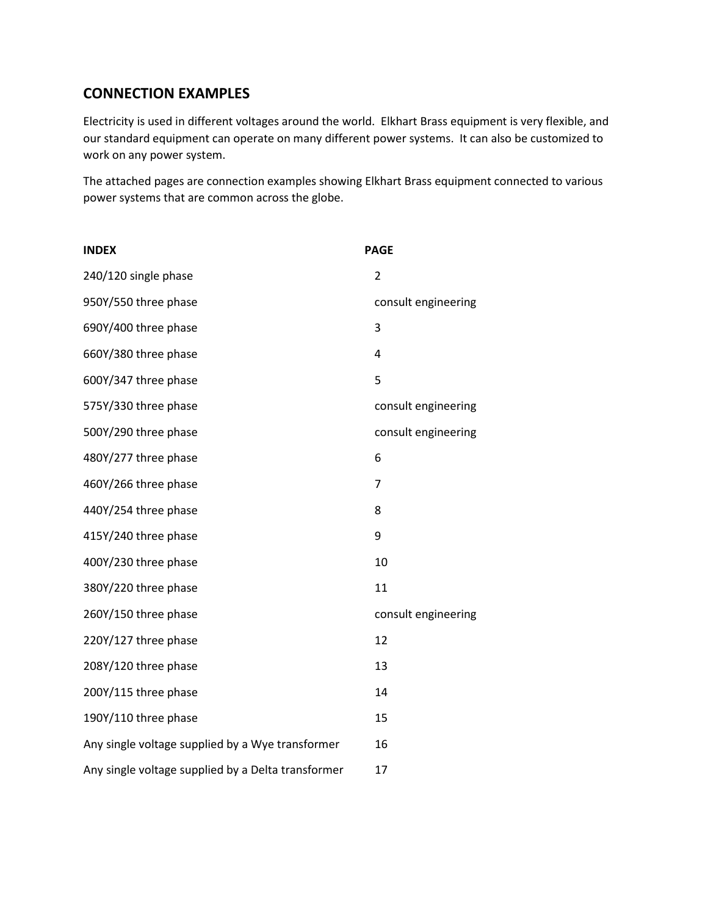#### **CONNECTION EXAMPLES**

Electricity is used in different voltages around the world. Elkhart Brass equipment is very flexible, and our standard equipment can operate on many different power systems. It can also be customized to work on any power system.

The attached pages are connection examples showing Elkhart Brass equipment connected to various power systems that are common across the globe.

| <b>INDEX</b>                                       | <b>PAGE</b>         |
|----------------------------------------------------|---------------------|
| 240/120 single phase                               | $\overline{2}$      |
| 950Y/550 three phase                               | consult engineering |
| 690Y/400 three phase                               | 3                   |
| 660Y/380 three phase                               | 4                   |
| 600Y/347 three phase                               | 5                   |
| 575Y/330 three phase                               | consult engineering |
| 500Y/290 three phase                               | consult engineering |
| 480Y/277 three phase                               | 6                   |
| 460Y/266 three phase                               | $\overline{7}$      |
| 440Y/254 three phase                               | 8                   |
| 415Y/240 three phase                               | 9                   |
| 400Y/230 three phase                               | 10                  |
| 380Y/220 three phase                               | 11                  |
| 260Y/150 three phase                               | consult engineering |
| 220Y/127 three phase                               | 12                  |
| 208Y/120 three phase                               | 13                  |
| 200Y/115 three phase                               | 14                  |
| 190Y/110 three phase                               | 15                  |
| Any single voltage supplied by a Wye transformer   | 16                  |
| Any single voltage supplied by a Delta transformer | 17                  |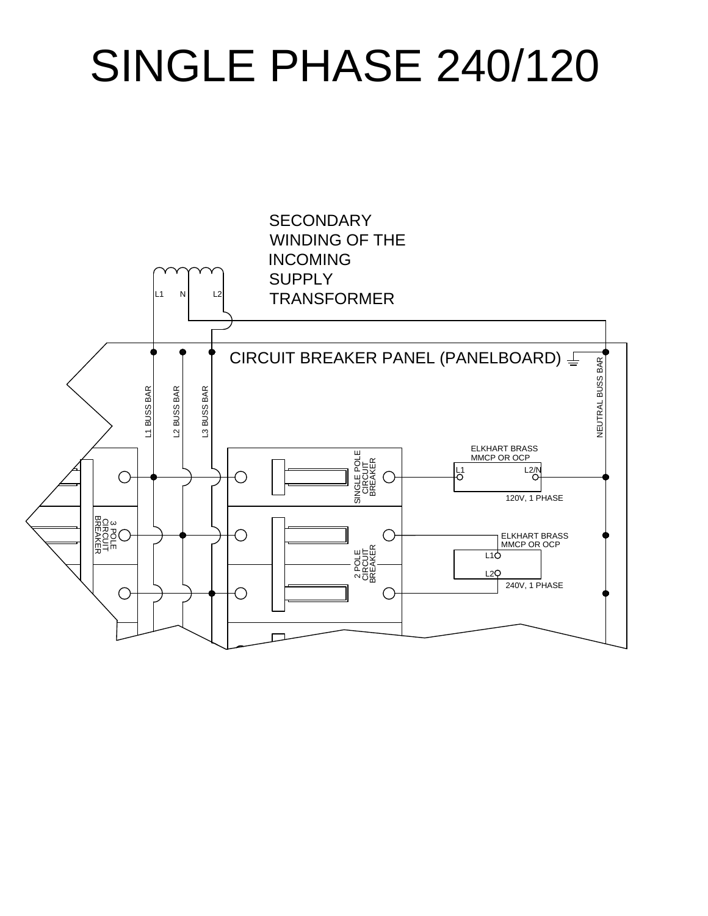## SINGLE PHASE 240/120

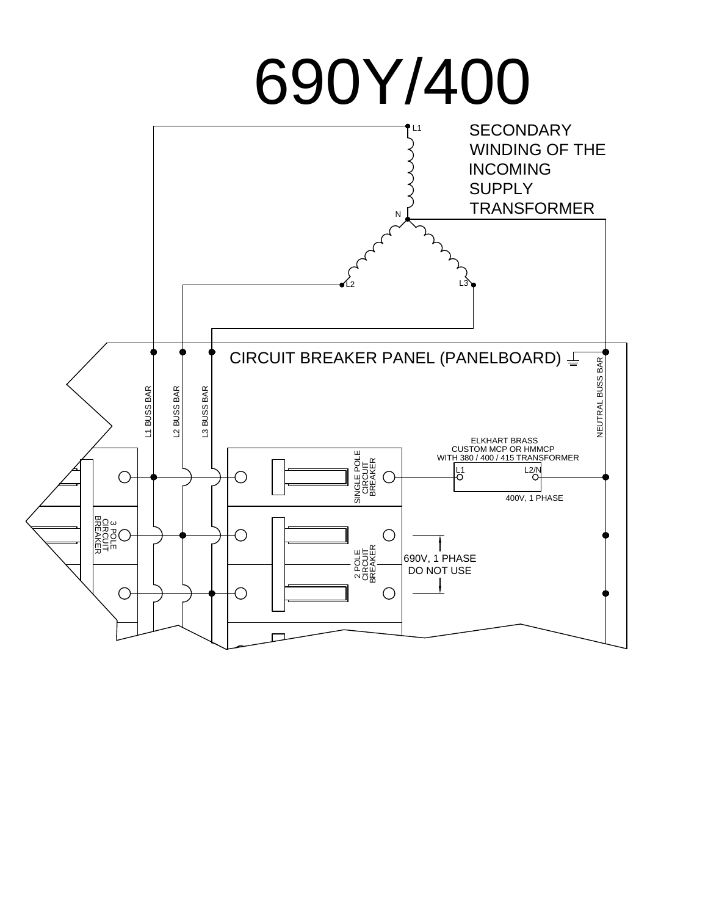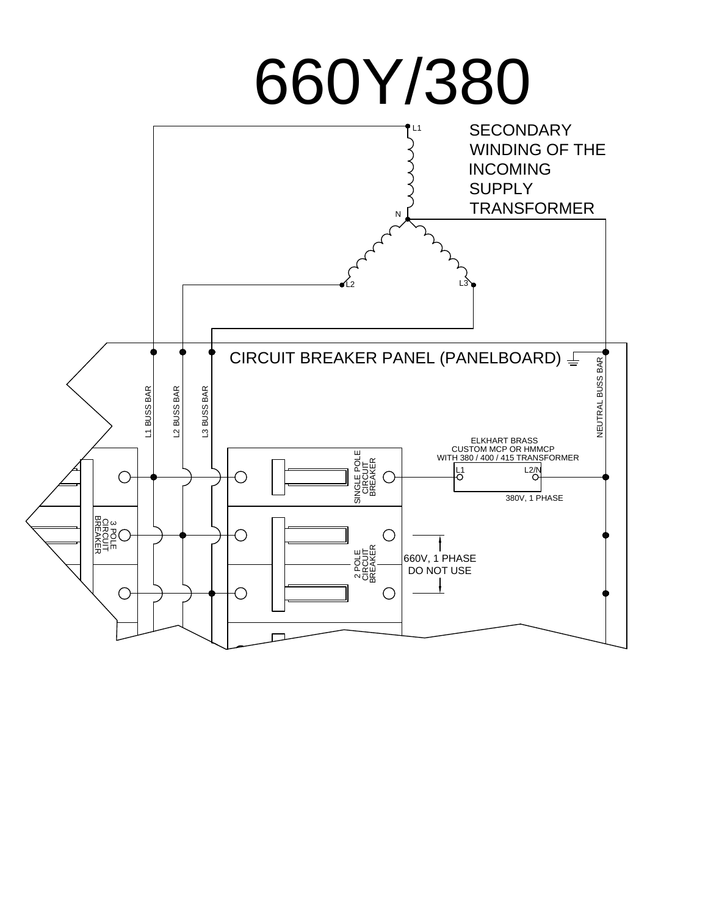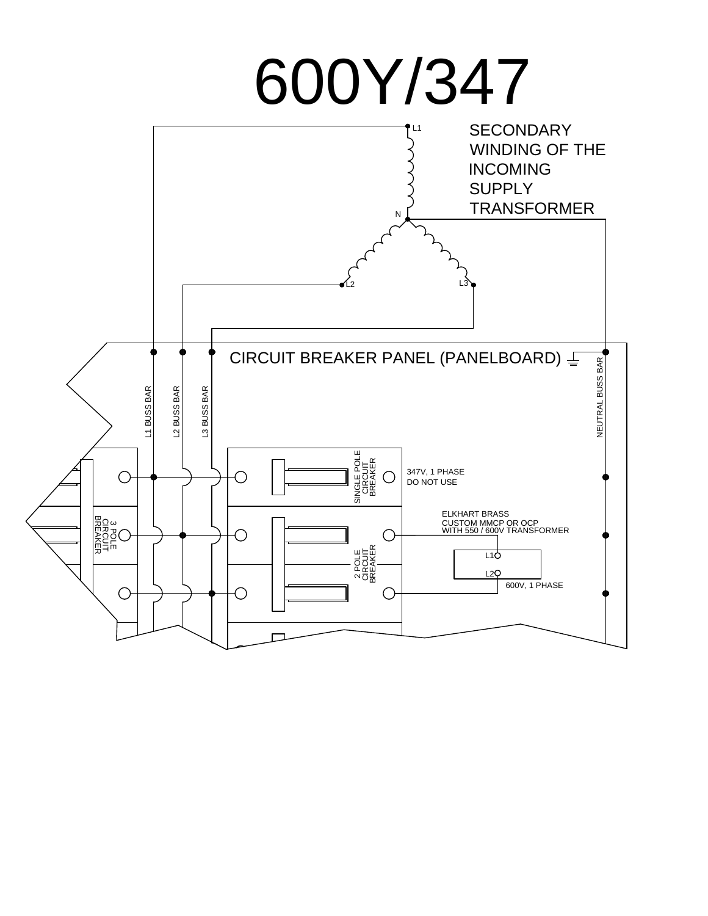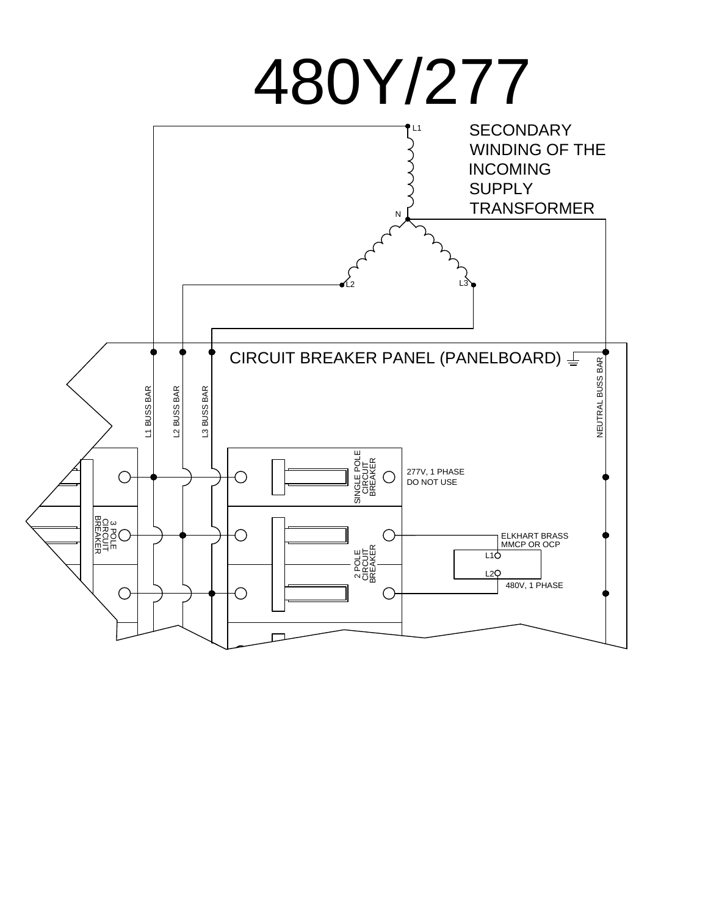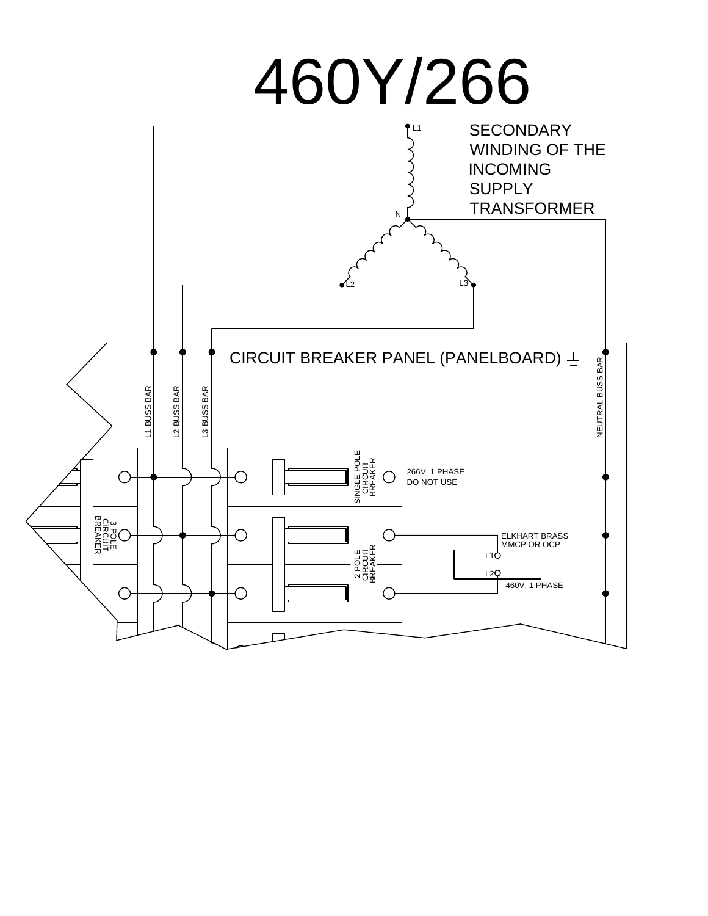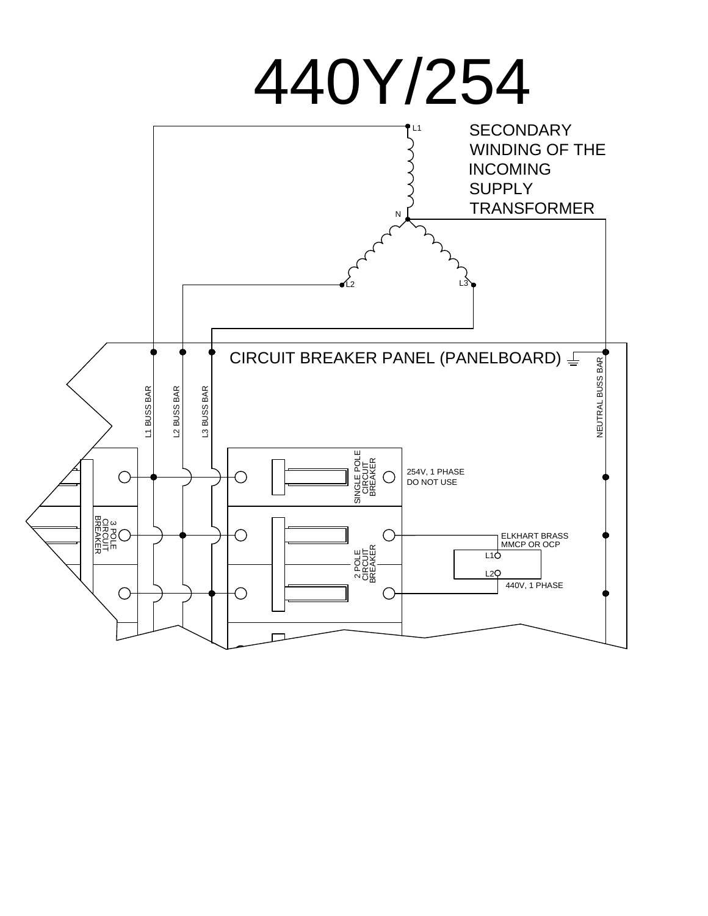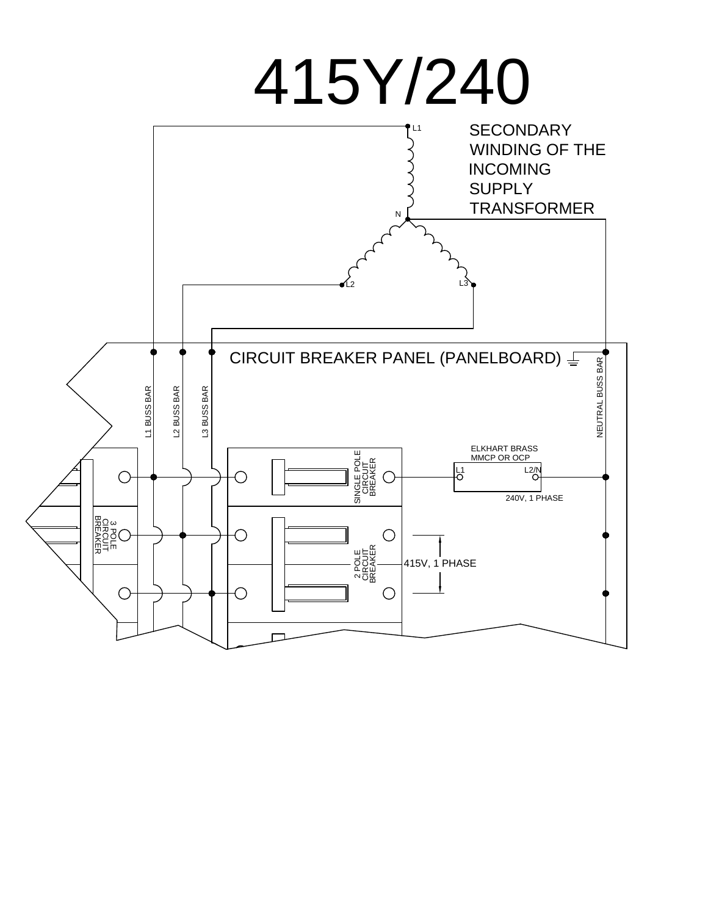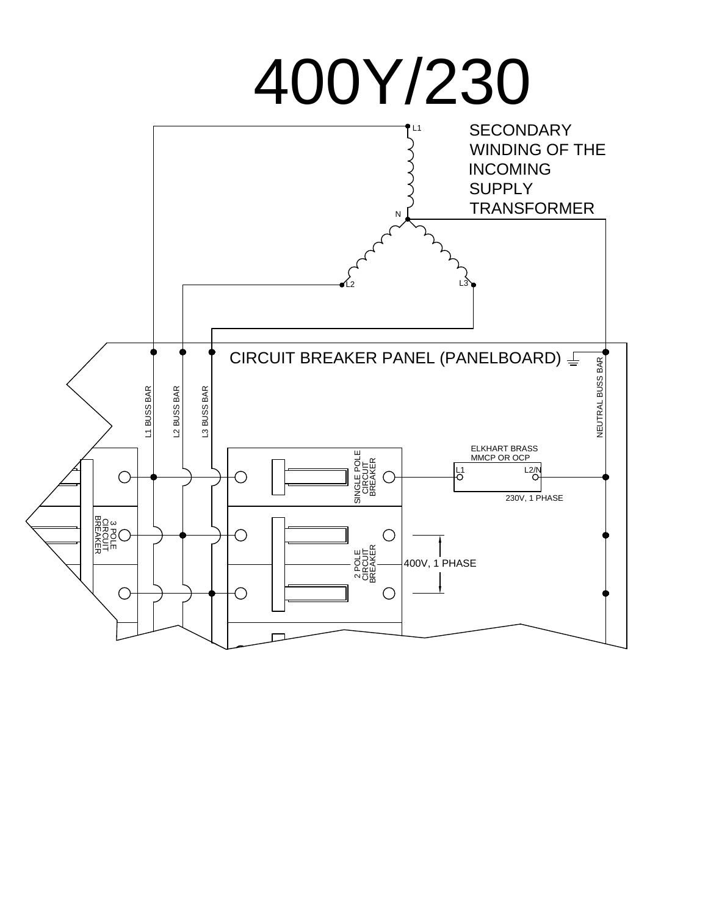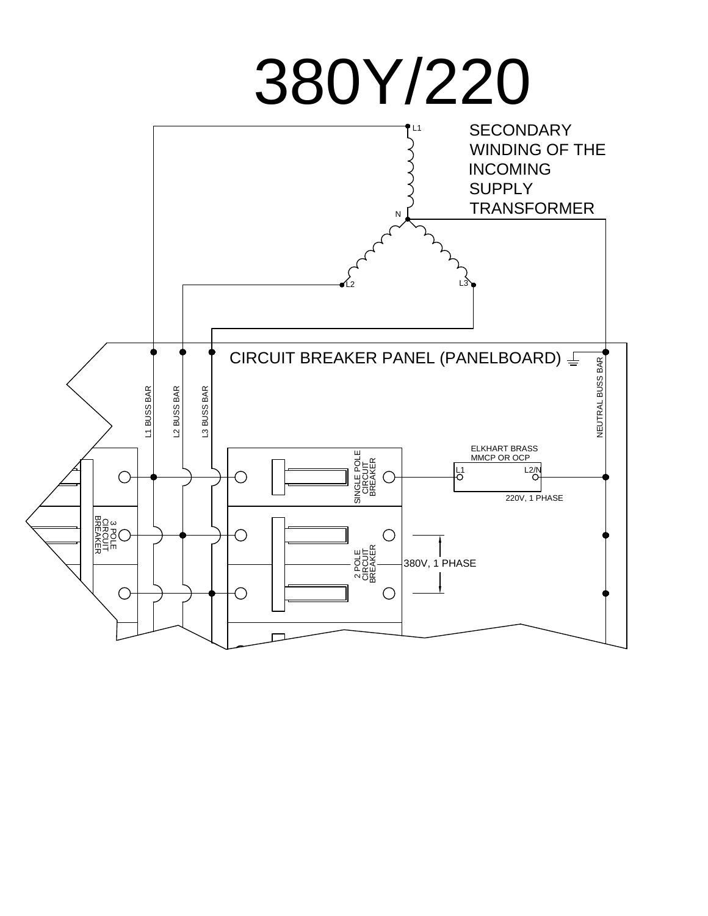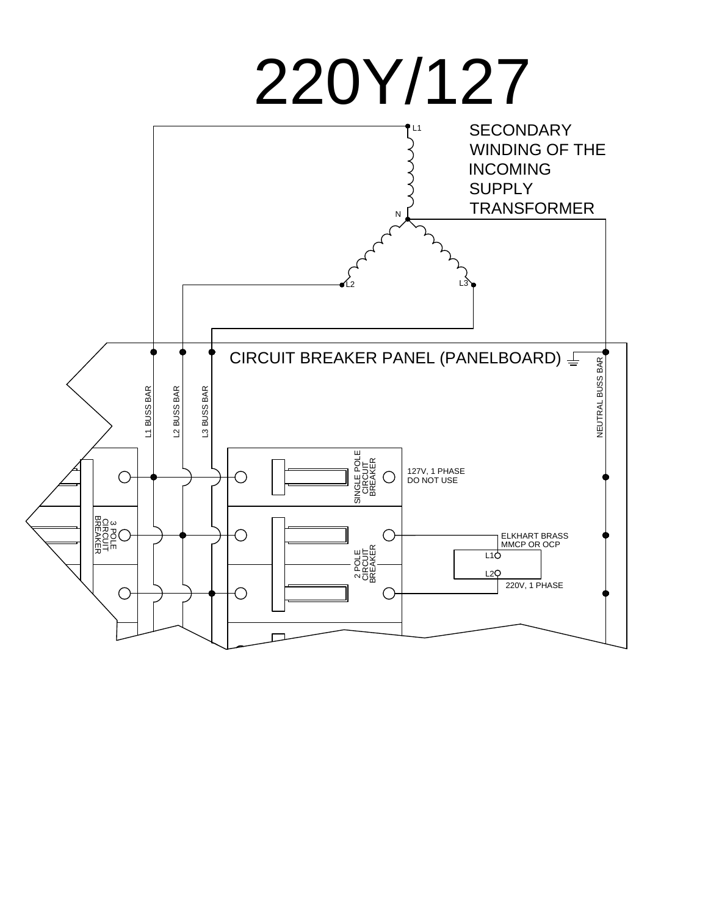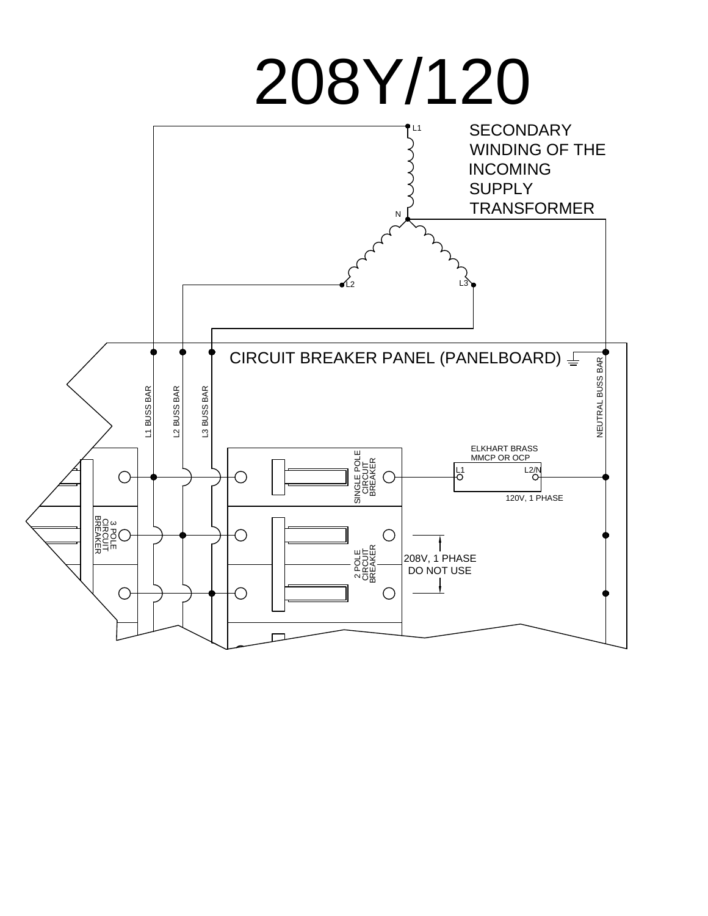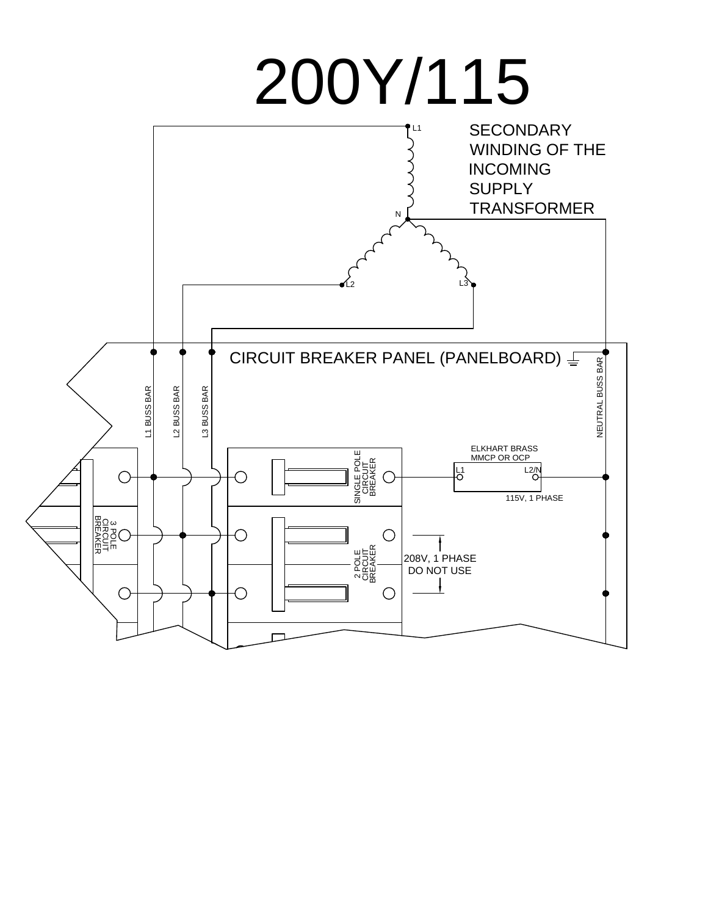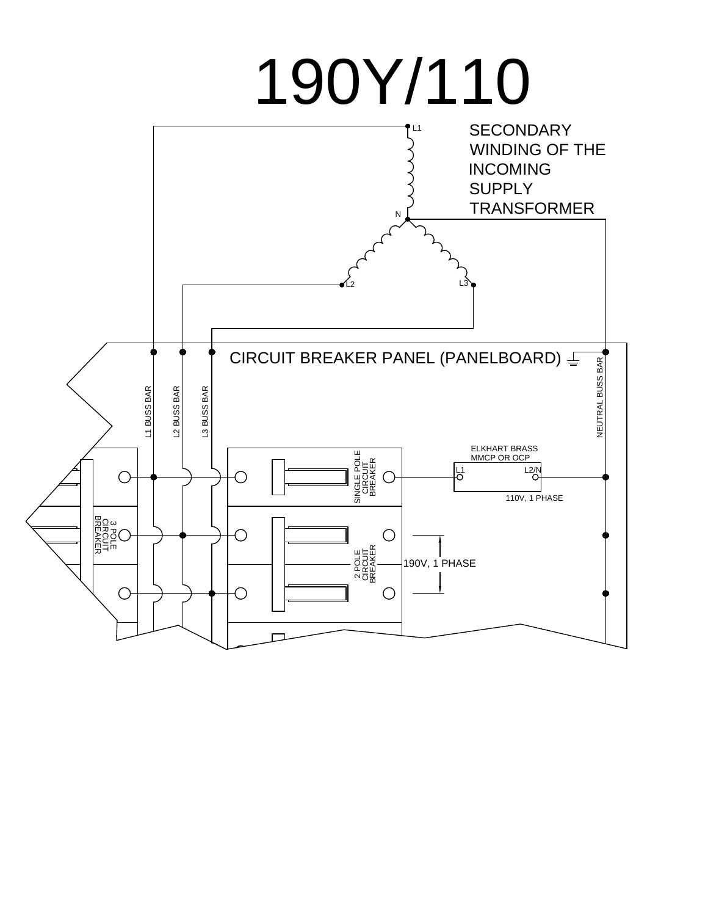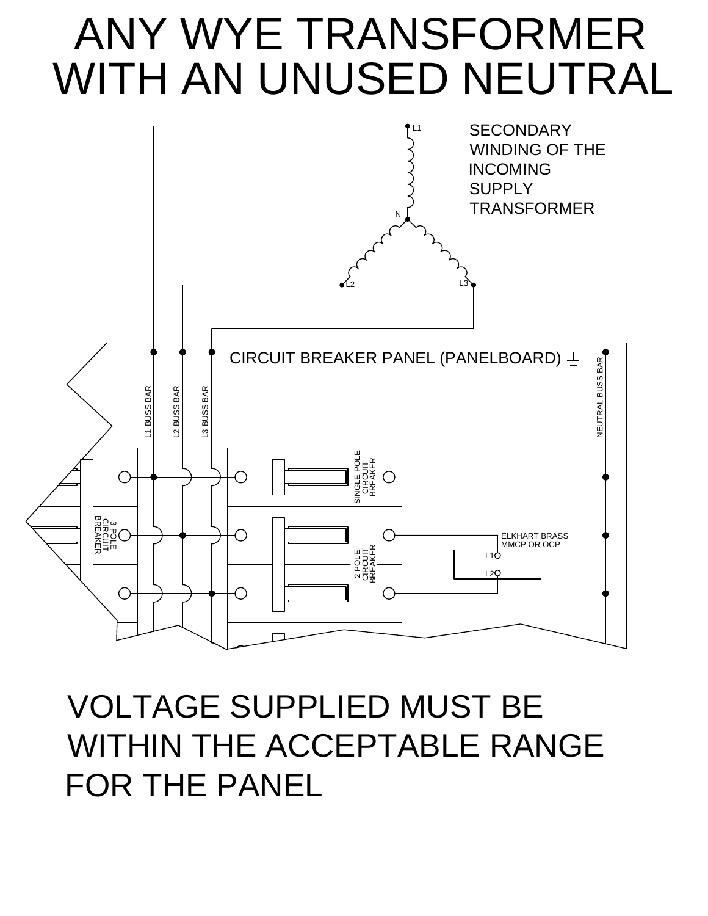### ANY WYE TRANSFORMER WITH AN UNUSED NEUTRAL



### VOLTAGE SUPPLIED MUST BE WITHIN THE ACCEPTABLE RANGE FOR THE PANEL